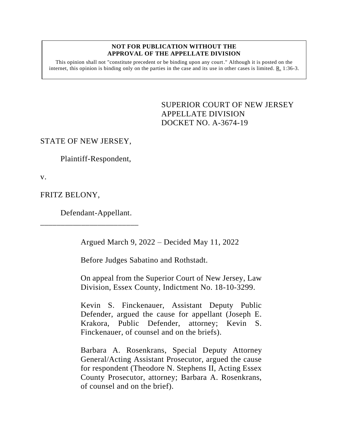#### **NOT FOR PUBLICATION WITHOUT THE APPROVAL OF THE APPELLATE DIVISION**

This opinion shall not "constitute precedent or be binding upon any court." Although it is posted on the internet, this opinion is binding only on the parties in the case and its use in other cases is limited.  $R_1$  1:36-3.

> <span id="page-0-0"></span>SUPERIOR COURT OF NEW JERSEY APPELLATE DIVISION DOCKET NO. A-3674-19

# STATE OF NEW JERSEY,

Plaintiff-Respondent,

v.

FRITZ BELONY,

Defendant-Appellant.

\_\_\_\_\_\_\_\_\_\_\_\_\_\_\_\_\_\_\_\_\_\_\_\_

Argued March 9, 2022 – Decided May 11, 2022

Before Judges Sabatino and Rothstadt.

On appeal from the Superior Court of New Jersey, Law Division, Essex County, Indictment No. 18-10-3299.

Kevin S. Finckenauer, Assistant Deputy Public Defender, argued the cause for appellant (Joseph E. Krakora, Public Defender, attorney; Kevin S. Finckenauer, of counsel and on the briefs).

Barbara A. Rosenkrans, Special Deputy Attorney General/Acting Assistant Prosecutor, argued the cause for respondent (Theodore N. Stephens II, Acting Essex County Prosecutor, attorney; Barbara A. Rosenkrans, of counsel and on the brief).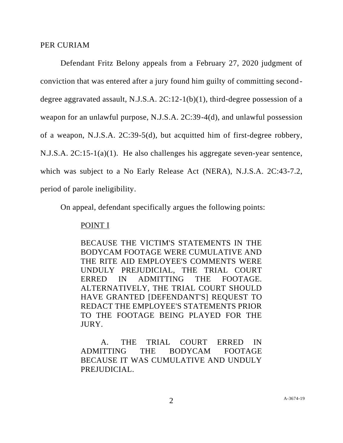## PER CURIAM

Defendant Fritz Belony appeals from a February 27, 2020 judgment of conviction that was entered after a jury found him guilty of committing seconddegree aggravated assault, N.J.S.A. 2C:12-1(b)(1), third-degree possession of a weapon for an unlawful purpose, N.J.S.A. 2C:39-4(d), and unlawful possession of a weapon, N.J.S.A. 2C:39-5(d), but acquitted him of first-degree robbery, N.J.S.A. 2C:15-1(a)(1). He also challenges his aggregate seven-year sentence, which was subject to a No Early Release Act (NERA), N.J.S.A. 2C:43-7.2, period of parole ineligibility.

On appeal, defendant specifically argues the following points:

# POINT I

BECAUSE THE VICTIM'S STATEMENTS IN THE BODYCAM FOOTAGE WERE CUMULATIVE AND THE RITE AID EMPLOYEE'S COMMENTS WERE UNDULY PREJUDICIAL, THE TRIAL COURT ERRED IN ADMITTING THE FOOTAGE. ALTERNATIVELY, THE TRIAL COURT SHOULD HAVE GRANTED [DEFENDANT'S] REQUEST TO REDACT THE EMPLOYEE'S STATEMENTS PRIOR TO THE FOOTAGE BEING PLAYED FOR THE JURY.

A. THE TRIAL COURT ERRED IN ADMITTING THE BODYCAM FOOTAGE BECAUSE IT WAS CUMULATIVE AND UNDULY PREJUDICIAL.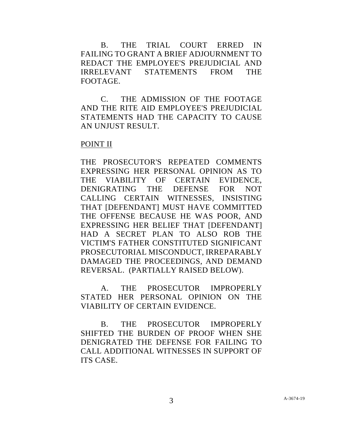B. THE TRIAL COURT ERRED IN FAILING TO GRANT A BRIEF ADJOURNMENT TO REDACT THE EMPLOYEE'S PREJUDICIAL AND IRRELEVANT STATEMENTS FROM THE FOOTAGE.

C. THE ADMISSION OF THE FOOTAGE AND THE RITE AID EMPLOYEE'S PREJUDICIAL STATEMENTS HAD THE CAPACITY TO CAUSE AN UNJUST RESULT.

## POINT II

THE PROSECUTOR'S REPEATED COMMENTS EXPRESSING HER PERSONAL OPINION AS TO THE VIABILITY OF CERTAIN EVIDENCE, DENIGRATING THE DEFENSE FOR NOT CALLING CERTAIN WITNESSES, INSISTING THAT [DEFENDANT] MUST HAVE COMMITTED THE OFFENSE BECAUSE HE WAS POOR, AND EXPRESSING HER BELIEF THAT [DEFENDANT] HAD A SECRET PLAN TO ALSO ROB THE VICTIM'S FATHER CONSTITUTED SIGNIFICANT PROSECUTORIAL MISCONDUCT, IRREPARABLY DAMAGED THE PROCEEDINGS, AND DEMAND REVERSAL. (PARTIALLY RAISED BELOW).

A. THE PROSECUTOR IMPROPERLY STATED HER PERSONAL OPINION ON THE VIABILITY OF CERTAIN EVIDENCE.

B. THE PROSECUTOR IMPROPERLY SHIFTED THE BURDEN OF PROOF WHEN SHE DENIGRATED THE DEFENSE FOR FAILING TO CALL ADDITIONAL WITNESSES IN SUPPORT OF ITS CASE.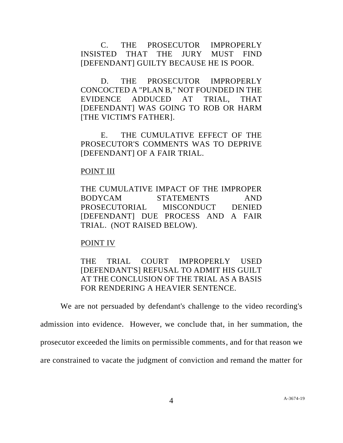C. THE PROSECUTOR IMPROPERLY INSISTED THAT THE JURY MUST FIND [DEFENDANT] GUILTY BECAUSE HE IS POOR.

D. THE PROSECUTOR IMPROPERLY CONCOCTED A "PLAN B," NOT FOUNDED IN THE EVIDENCE ADDUCED AT TRIAL, THAT [DEFENDANT] WAS GOING TO ROB OR HARM [THE VICTIM'S FATHER].

E. THE CUMULATIVE EFFECT OF THE PROSECUTOR'S COMMENTS WAS TO DEPRIVE [DEFENDANT] OF A FAIR TRIAL.

## POINT III

THE CUMULATIVE IMPACT OF THE IMPROPER BODYCAM STATEMENTS AND PROSECUTORIAL MISCONDUCT DENIED [DEFENDANT] DUE PROCESS AND A FAIR TRIAL. (NOT RAISED BELOW).

# POINT IV

THE TRIAL COURT IMPROPERLY USED [DEFENDANT'S] REFUSAL TO ADMIT HIS GUILT AT THE CONCLUSION OF THE TRIAL AS A BASIS FOR RENDERING A HEAVIER SENTENCE.

We are not persuaded by defendant's challenge to the video recording's

admission into evidence. However, we conclude that, in her summation, the prosecutor exceeded the limits on permissible comments, and for that reason we are constrained to vacate the judgment of conviction and remand the matter for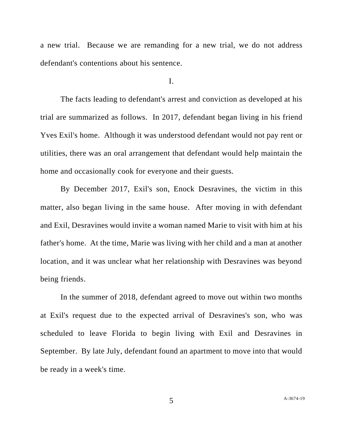a new trial. Because we are remanding for a new trial, we do not address defendant's contentions about his sentence.

#### I.

The facts leading to defendant's arrest and conviction as developed at his trial are summarized as follows. In 2017, defendant began living in his friend Yves Exil's home. Although it was understood defendant would not pay rent or utilities, there was an oral arrangement that defendant would help maintain the home and occasionally cook for everyone and their guests.

By December 2017, Exil's son, Enock Desravines, the victim in this matter, also began living in the same house. After moving in with defendant and Exil, Desravines would invite a woman named Marie to visit with him at his father's home. At the time, Marie was living with her child and a man at another location, and it was unclear what her relationship with Desravines was beyond being friends.

In the summer of 2018, defendant agreed to move out within two months at Exil's request due to the expected arrival of Desravines's son, who was scheduled to leave Florida to begin living with Exil and Desravines in September. By late July, defendant found an apartment to move into that would be ready in a week's time.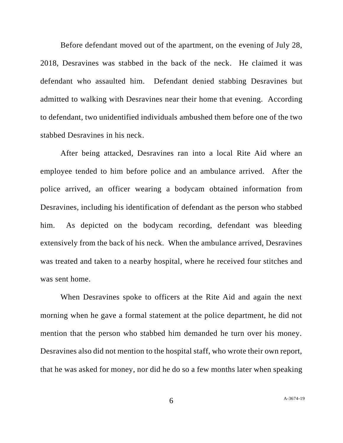Before defendant moved out of the apartment, on the evening of July 28, 2018, Desravines was stabbed in the back of the neck. He claimed it was defendant who assaulted him. Defendant denied stabbing Desravines but admitted to walking with Desravines near their home that evening. According to defendant, two unidentified individuals ambushed them before one of the two stabbed Desravines in his neck.

After being attacked, Desravines ran into a local Rite Aid where an employee tended to him before police and an ambulance arrived. After the police arrived, an officer wearing a bodycam obtained information from Desravines, including his identification of defendant as the person who stabbed him. As depicted on the bodycam recording, defendant was bleeding extensively from the back of his neck. When the ambulance arrived, Desravines was treated and taken to a nearby hospital, where he received four stitches and was sent home.

When Desravines spoke to officers at the Rite Aid and again the next morning when he gave a formal statement at the police department, he did not mention that the person who stabbed him demanded he turn over his money. Desravines also did not mention to the hospital staff, who wrote their own report, that he was asked for money, nor did he do so a few months later when speaking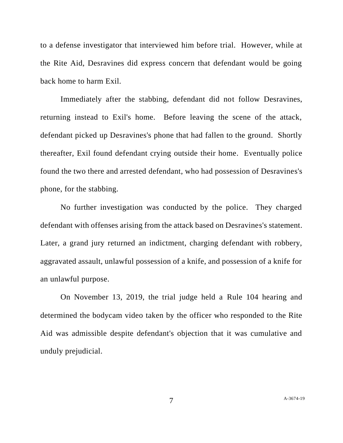to a defense investigator that interviewed him before trial. However, while at the Rite Aid, Desravines did express concern that defendant would be going back home to harm Exil.

Immediately after the stabbing, defendant did not follow Desravines, returning instead to Exil's home. Before leaving the scene of the attack, defendant picked up Desravines's phone that had fallen to the ground. Shortly thereafter, Exil found defendant crying outside their home. Eventually police found the two there and arrested defendant, who had possession of Desravines's phone, for the stabbing.

No further investigation was conducted by the police. They charged defendant with offenses arising from the attack based on Desravines's statement. Later, a grand jury returned an indictment, charging defendant with robbery, aggravated assault, unlawful possession of a knife, and possession of a knife for an unlawful purpose.

On November 13, 2019, the trial judge held a Rule 104 hearing and determined the bodycam video taken by the officer who responded to the Rite Aid was admissible despite defendant's objection that it was cumulative and unduly prejudicial.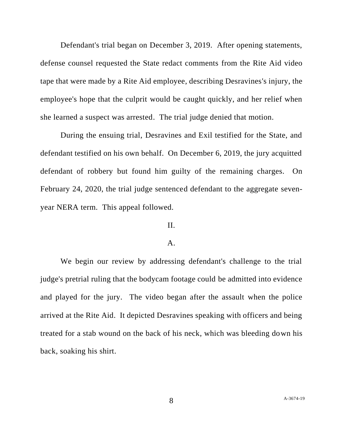Defendant's trial began on December 3, 2019. After opening statements, defense counsel requested the State redact comments from the Rite Aid video tape that were made by a Rite Aid employee, describing Desravines's injury, the employee's hope that the culprit would be caught quickly, and her relief when she learned a suspect was arrested. The trial judge denied that motion.

During the ensuing trial, Desravines and Exil testified for the State, and defendant testified on his own behalf. On December 6, 2019, the jury acquitted defendant of robbery but found him guilty of the remaining charges. On February 24, 2020, the trial judge sentenced defendant to the aggregate sevenyear NERA term. This appeal followed.

# II.

#### A.

We begin our review by addressing defendant's challenge to the trial judge's pretrial ruling that the bodycam footage could be admitted into evidence and played for the jury. The video began after the assault when the police arrived at the Rite Aid. It depicted Desravines speaking with officers and being treated for a stab wound on the back of his neck, which was bleeding down his back, soaking his shirt.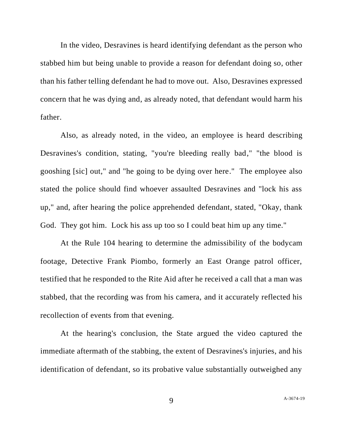In the video, Desravines is heard identifying defendant as the person who stabbed him but being unable to provide a reason for defendant doing so, other than his father telling defendant he had to move out. Also, Desravines expressed concern that he was dying and, as already noted, that defendant would harm his father.

Also, as already noted, in the video, an employee is heard describing Desravines's condition, stating, "you're bleeding really bad," "the blood is gooshing [sic] out," and "he going to be dying over here." The employee also stated the police should find whoever assaulted Desravines and "lock his ass up," and, after hearing the police apprehended defendant, stated, "Okay, thank God. They got him. Lock his ass up too so I could beat him up any time."

At the Rule 104 hearing to determine the admissibility of the bodycam footage, Detective Frank Piombo, formerly an East Orange patrol officer, testified that he responded to the Rite Aid after he received a call that a man was stabbed, that the recording was from his camera, and it accurately reflected his recollection of events from that evening.

At the hearing's conclusion, the State argued the video captured the immediate aftermath of the stabbing, the extent of Desravines's injuries, and his identification of defendant, so its probative value substantially outweighed any

9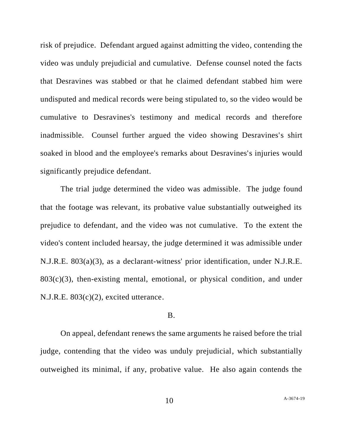risk of prejudice. Defendant argued against admitting the video, contending the video was unduly prejudicial and cumulative. Defense counsel noted the facts that Desravines was stabbed or that he claimed defendant stabbed him were undisputed and medical records were being stipulated to, so the video would be cumulative to Desravines's testimony and medical records and therefore inadmissible. Counsel further argued the video showing Desravines's shirt soaked in blood and the employee's remarks about Desravines's injuries would significantly prejudice defendant.

The trial judge determined the video was admissible. The judge found that the footage was relevant, its probative value substantially outweighed its prejudice to defendant, and the video was not cumulative. To the extent the video's content included hearsay, the judge determined it was admissible under N.J.R.E. 803(a)(3), as a declarant-witness' prior identification, under N.J.R.E.  $803(c)(3)$ , then-existing mental, emotional, or physical condition, and under N.J.R.E. 803(c)(2), excited utterance.

## B.

On appeal, defendant renews the same arguments he raised before the trial judge, contending that the video was unduly prejudicial, which substantially outweighed its minimal, if any, probative value. He also again contends the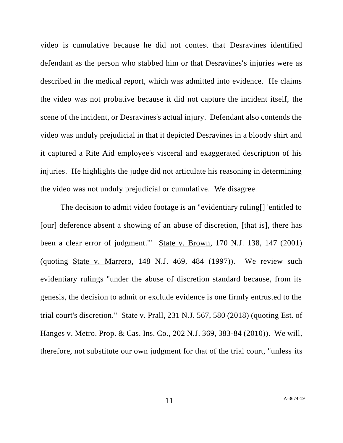video is cumulative because he did not contest that Desravines identified defendant as the person who stabbed him or that Desravines's injuries were as described in the medical report, which was admitted into evidence. He claims the video was not probative because it did not capture the incident itself, the scene of the incident, or Desravines's actual injury. Defendant also contends the video was unduly prejudicial in that it depicted Desravines in a bloody shirt and it captured a Rite Aid employee's visceral and exaggerated description of his injuries. He highlights the judge did not articulate his reasoning in determining the video was not unduly prejudicial or cumulative. We disagree.

The decision to admit video footage is an "evidentiary ruling[] 'entitled to [our] deference absent a showing of an abuse of discretion, [that is], there has been a clear error of judgment.'" State v. Brown, 170 N.J. 138, 147 (2001) (quoting State v. Marrero, 148 N.J. 469, 484 (1997)). We review such evidentiary rulings "under the abuse of discretion standard because, from its genesis, the decision to admit or exclude evidence is one firmly entrusted to the trial court's discretion." State v. Prall, 231 N.J. 567, 580 (2018) (quoting Est. of Hanges v. Metro. Prop. & Cas. Ins. Co., 202 N.J. 369, 383-84 (2010)). We will, therefore, not substitute our own judgment for that of the trial court, "unless its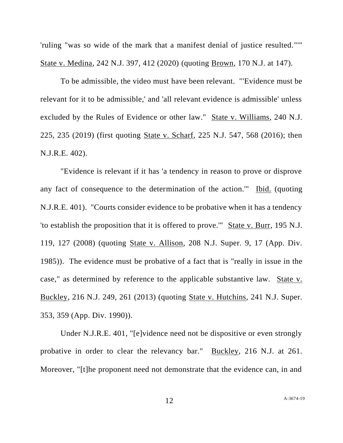'ruling "was so wide of the mark that a manifest denial of justice resulted."'" State v. Medina, 242 N.J. 397, 412 (2020) (quoting Brown, 170 N.J. at 147).

To be admissible, the video must have been relevant. "'Evidence must be relevant for it to be admissible,' and 'all relevant evidence is admissible' unless excluded by the Rules of Evidence or other law." State v. Williams, 240 N.J. 225, 235 (2019) (first quoting State v. Scharf, 225 N.J. 547, 568 (2016); then N.J.R.E. 402).

"Evidence is relevant if it has 'a tendency in reason to prove or disprove any fact of consequence to the determination of the action.'" Ibid. (quoting N.J.R.E. 401). "Courts consider evidence to be probative when it has a tendency 'to establish the proposition that it is offered to prove.'" State v. Burr, 195 N.J. 119, 127 (2008) (quoting State v. Allison, 208 N.J. Super. 9, 17 (App. Div. 1985)). The evidence must be probative of a fact that is "really in issue in the case," as determined by reference to the applicable substantive law. State v. Buckley, 216 N.J. 249, 261 (2013) (quoting State v. Hutchins, 241 N.J. Super. 353, 359 (App. Div. 1990)).

Under N.J.R.E. 401, "[e]vidence need not be dispositive or even strongly probative in order to clear the relevancy bar." Buckley, 216 N.J. at 261. Moreover, "[t]he proponent need not demonstrate that the evidence can, in and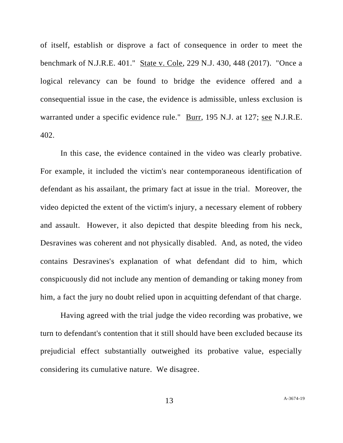of itself, establish or disprove a fact of consequence in order to meet the benchmark of N.J.R.E. 401." State v. Cole, 229 N.J. 430, 448 (2017). "Once a logical relevancy can be found to bridge the evidence offered and a consequential issue in the case, the evidence is admissible, unless exclusion is warranted under a specific evidence rule." Burr, 195 N.J. at 127; see N.J.R.E. 402.

In this case, the evidence contained in the video was clearly probative. For example, it included the victim's near contemporaneous identification of defendant as his assailant, the primary fact at issue in the trial. Moreover, the video depicted the extent of the victim's injury, a necessary element of robbery and assault. However, it also depicted that despite bleeding from his neck, Desravines was coherent and not physically disabled. And, as noted, the video contains Desravines's explanation of what defendant did to him, which conspicuously did not include any mention of demanding or taking money from him, a fact the jury no doubt relied upon in acquitting defendant of that charge.

Having agreed with the trial judge the video recording was probative, we turn to defendant's contention that it still should have been excluded because its prejudicial effect substantially outweighed its probative value, especially considering its cumulative nature. We disagree.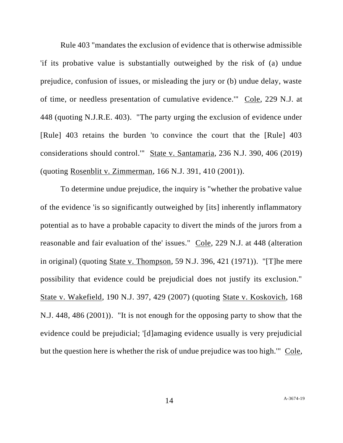Rule 403 "mandates the exclusion of evidence that is otherwise admissible 'if its probative value is substantially outweighed by the risk of (a) undue prejudice, confusion of issues, or misleading the jury or (b) undue delay, waste of time, or needless presentation of cumulative evidence.'" Cole, 229 N.J. at 448 (quoting N.J.R.E. 403). "The party urging the exclusion of evidence under [Rule] 403 retains the burden 'to convince the court that the [Rule] 403 considerations should control.'" State v. Santamaria, 236 N.J. 390, 406 (2019) (quoting Rosenblit v. Zimmerman, 166 N.J. 391, 410 (2001)).

To determine undue prejudice, the inquiry is "whether the probative value of the evidence 'is so significantly outweighed by [its] inherently inflammatory potential as to have a probable capacity to divert the minds of the jurors from a reasonable and fair evaluation of the' issues." Cole, 229 N.J. at 448 (alteration in original) (quoting State v. Thompson, 59 N.J. 396, 421 (1971)). "[T]he mere possibility that evidence could be prejudicial does not justify its exclusion." State v. Wakefield, 190 N.J. 397, 429 (2007) (quoting State v. Koskovich, 168 N.J. 448, 486 (2001)). "It is not enough for the opposing party to show that the evidence could be prejudicial; '[d]amaging evidence usually is very prejudicial but the question here is whether the risk of undue prejudice was too high.'" Cole,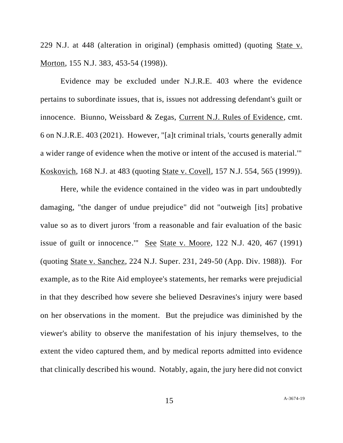229 N.J. at 448 (alteration in original) (emphasis omitted) (quoting State v. Morton, 155 N.J. 383, 453-54 (1998)).

Evidence may be excluded under N.J.R.E. 403 where the evidence pertains to subordinate issues, that is, issues not addressing defendant's guilt or innocence. Biunno, Weissbard & Zegas, Current N.J. Rules of Evidence, cmt. 6 on N.J.R.E. 403 (2021). However, "[a]t criminal trials, 'courts generally admit a wider range of evidence when the motive or intent of the accused is material.'" Koskovich, 168 N.J. at 483 (quoting State v. Covell, 157 N.J. 554, 565 (1999)).

Here, while the evidence contained in the video was in part undoubtedly damaging, "the danger of undue prejudice" did not "outweigh [its] probative value so as to divert jurors 'from a reasonable and fair evaluation of the basic issue of guilt or innocence.'" See State v. Moore, 122 N.J. 420, 467 (1991) (quoting State v. Sanchez, 224 N.J. Super. 231, 249-50 (App. Div. 1988)). For example, as to the Rite Aid employee's statements, her remarks were prejudicial in that they described how severe she believed Desravines's injury were based on her observations in the moment. But the prejudice was diminished by the viewer's ability to observe the manifestation of his injury themselves, to the extent the video captured them, and by medical reports admitted into evidence that clinically described his wound. Notably, again, the jury here did not convict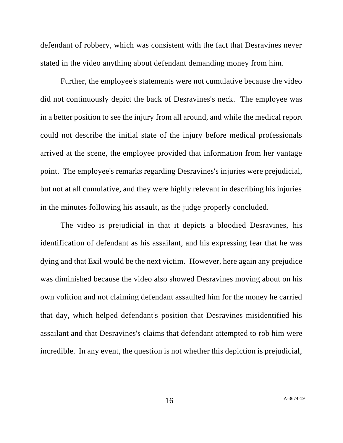defendant of robbery, which was consistent with the fact that Desravines never stated in the video anything about defendant demanding money from him.

Further, the employee's statements were not cumulative because the video did not continuously depict the back of Desravines's neck. The employee was in a better position to see the injury from all around, and while the medical report could not describe the initial state of the injury before medical professionals arrived at the scene, the employee provided that information from her vantage point. The employee's remarks regarding Desravines's injuries were prejudicial, but not at all cumulative, and they were highly relevant in describing his injuries in the minutes following his assault, as the judge properly concluded.

The video is prejudicial in that it depicts a bloodied Desravines, his identification of defendant as his assailant, and his expressing fear that he was dying and that Exil would be the next victim. However, here again any prejudice was diminished because the video also showed Desravines moving about on his own volition and not claiming defendant assaulted him for the money he carried that day, which helped defendant's position that Desravines misidentified his assailant and that Desravines's claims that defendant attempted to rob him were incredible. In any event, the question is not whether this depiction is prejudicial,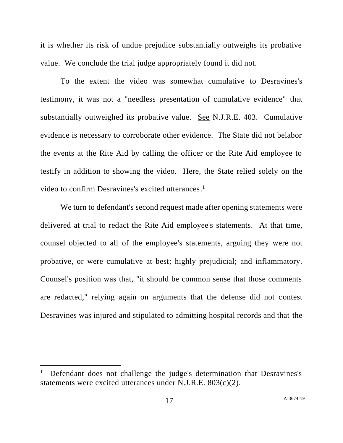it is whether its risk of undue prejudice substantially outweighs its probative value. We conclude the trial judge appropriately found it did not.

To the extent the video was somewhat cumulative to Desravines's testimony, it was not a "needless presentation of cumulative evidence" that substantially outweighed its probative value. See N.J.R.E. 403. Cumulative evidence is necessary to corroborate other evidence. The State did not belabor the events at the Rite Aid by calling the officer or the Rite Aid employee to testify in addition to showing the video. Here, the State relied solely on the video to confirm Desravines's excited utterances. 1

We turn to defendant's second request made after opening statements were delivered at trial to redact the Rite Aid employee's statements. At that time, counsel objected to all of the employee's statements, arguing they were not probative, or were cumulative at best; highly prejudicial; and inflammatory. Counsel's position was that, "it should be common sense that those comments are redacted," relying again on arguments that the defense did not contest Desravines was injured and stipulated to admitting hospital records and that the

<sup>1</sup> Defendant does not challenge the judge's determination that Desravines's statements were excited utterances under N.J.R.E. 803(c)(2).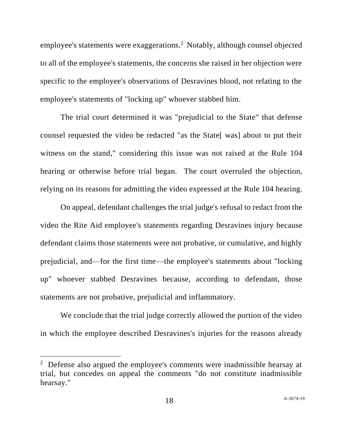employee's statements were exaggerations.<sup>2</sup> Notably, although counsel objected to all of the employee's statements, the concerns she raised in her objection were specific to the employee's observations of Desravines blood, not relating to the employee's statements of "locking up" whoever stabbed him.

The trial court determined it was "prejudicial to the State" that defense counsel requested the video be redacted "as the State[ was] about to put their witness on the stand," considering this issue was not raised at the Rule 104 hearing or otherwise before trial began. The court overruled the objection, relying on its reasons for admitting the video expressed at the Rule 104 hearing.

On appeal, defendant challenges the trial judge's refusal to redact from the video the Rite Aid employee's statements regarding Desravines injury because defendant claims those statements were not probative, or cumulative, and highly prejudicial, and—for the first time—the employee's statements about "locking up" whoever stabbed Desravines because, according to defendant, those statements are not probative, prejudicial and inflammatory.

We conclude that the trial judge correctly allowed the portion of the video in which the employee described Desravines's injuries for the reasons already

 $2$  Defense also argued the employee's comments were inadmissible hearsay at trial, but concedes on appeal the comments "do not constitute inadmissible hearsay."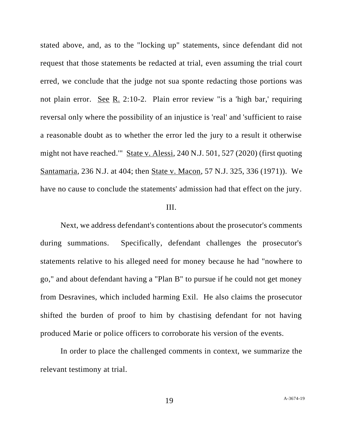stated above, and, as to the "locking up" statements, since defendant did not request that those statements be redacted at trial, even assuming the trial court erred, we conclude that the judge not sua sponte redacting those portions was not plain error. See R. 2:10-2. Plain error review "is a 'high bar,' requiring reversal only where the possibility of an injustice is 'real' and 'sufficient to raise a reasonable doubt as to whether the error led the jury to a result it otherwise might not have reached.'" State v. Alessi, 240 N.J. 501, 527 (2020) (first quoting Santamaria, 236 N.J. at 404; then State v. Macon, 57 N.J. 325, 336 (1971)). We have no cause to conclude the statements' admission had that effect on the jury.

## III.

Next, we address defendant's contentions about the prosecutor's comments during summations. Specifically, defendant challenges the prosecutor's statements relative to his alleged need for money because he had "nowhere to go," and about defendant having a "Plan B" to pursue if he could not get money from Desravines, which included harming Exil. He also claims the prosecutor shifted the burden of proof to him by chastising defendant for not having produced Marie or police officers to corroborate his version of the events.

In order to place the challenged comments in context, we summarize the relevant testimony at trial.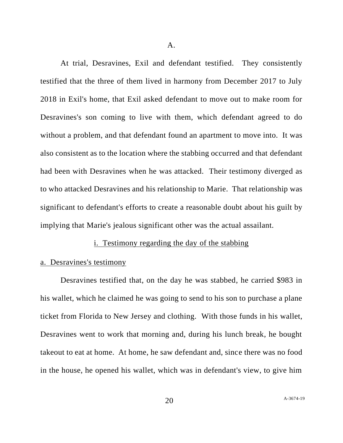At trial, Desravines, Exil and defendant testified. They consistently testified that the three of them lived in harmony from December 2017 to July 2018 in Exil's home, that Exil asked defendant to move out to make room for Desravines's son coming to live with them, which defendant agreed to do without a problem, and that defendant found an apartment to move into. It was also consistent as to the location where the stabbing occurred and that defendant had been with Desravines when he was attacked. Their testimony diverged as to who attacked Desravines and his relationship to Marie. That relationship was significant to defendant's efforts to create a reasonable doubt about his guilt by implying that Marie's jealous significant other was the actual assailant.

#### i. Testimony regarding the day of the stabbing

#### a. Desravines's testimony

Desravines testified that, on the day he was stabbed, he carried \$983 in his wallet, which he claimed he was going to send to his son to purchase a plane ticket from Florida to New Jersey and clothing. With those funds in his wallet, Desravines went to work that morning and, during his lunch break, he bought takeout to eat at home. At home, he saw defendant and, since there was no food in the house, he opened his wallet, which was in defendant's view, to give him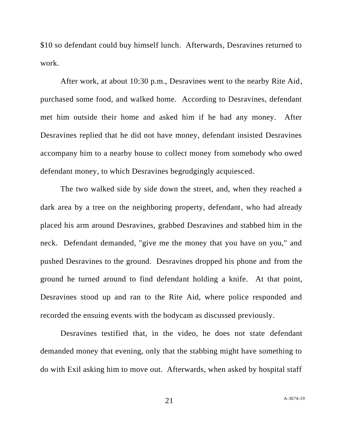\$10 so defendant could buy himself lunch. Afterwards, Desravines returned to work.

After work, at about 10:30 p.m., Desravines went to the nearby Rite Aid, purchased some food, and walked home. According to Desravines, defendant met him outside their home and asked him if he had any money. After Desravines replied that he did not have money, defendant insisted Desravines accompany him to a nearby house to collect money from somebody who owed defendant money, to which Desravines begrudgingly acquiesced.

The two walked side by side down the street, and, when they reached a dark area by a tree on the neighboring property, defendant, who had already placed his arm around Desravines, grabbed Desravines and stabbed him in the neck. Defendant demanded, "give me the money that you have on you," and pushed Desravines to the ground. Desravines dropped his phone and from the ground he turned around to find defendant holding a knife. At that point, Desravines stood up and ran to the Rite Aid, where police responded and recorded the ensuing events with the bodycam as discussed previously.

Desravines testified that, in the video, he does not state defendant demanded money that evening, only that the stabbing might have something to do with Exil asking him to move out. Afterwards, when asked by hospital staff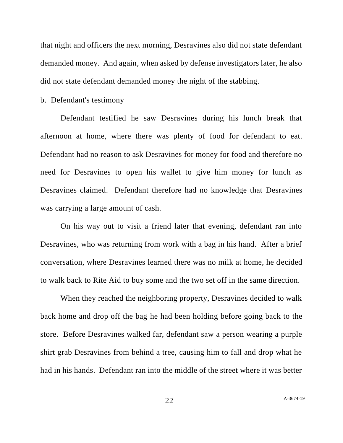that night and officers the next morning, Desravines also did not state defendant demanded money. And again, when asked by defense investigators later, he also did not state defendant demanded money the night of the stabbing.

## b. Defendant's testimony

Defendant testified he saw Desravines during his lunch break that afternoon at home, where there was plenty of food for defendant to eat. Defendant had no reason to ask Desravines for money for food and therefore no need for Desravines to open his wallet to give him money for lunch as Desravines claimed. Defendant therefore had no knowledge that Desravines was carrying a large amount of cash.

On his way out to visit a friend later that evening, defendant ran into Desravines, who was returning from work with a bag in his hand. After a brief conversation, where Desravines learned there was no milk at home, he decided to walk back to Rite Aid to buy some and the two set off in the same direction.

When they reached the neighboring property, Desravines decided to walk back home and drop off the bag he had been holding before going back to the store. Before Desravines walked far, defendant saw a person wearing a purple shirt grab Desravines from behind a tree, causing him to fall and drop what he had in his hands. Defendant ran into the middle of the street where it was better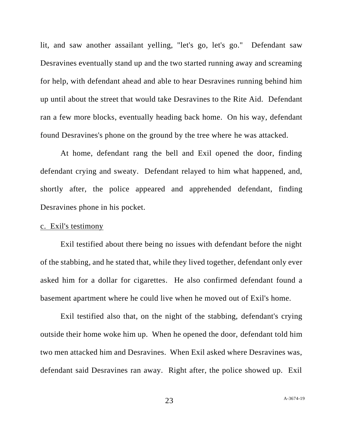lit, and saw another assailant yelling, "let's go, let's go." Defendant saw Desravines eventually stand up and the two started running away and screaming for help, with defendant ahead and able to hear Desravines running behind him up until about the street that would take Desravines to the Rite Aid. Defendant ran a few more blocks, eventually heading back home. On his way, defendant found Desravines's phone on the ground by the tree where he was attacked.

At home, defendant rang the bell and Exil opened the door, finding defendant crying and sweaty. Defendant relayed to him what happened, and, shortly after, the police appeared and apprehended defendant, finding Desravines phone in his pocket.

## c. Exil's testimony

Exil testified about there being no issues with defendant before the night of the stabbing, and he stated that, while they lived together, defendant only ever asked him for a dollar for cigarettes. He also confirmed defendant found a basement apartment where he could live when he moved out of Exil's home.

Exil testified also that, on the night of the stabbing, defendant's crying outside their home woke him up. When he opened the door, defendant told him two men attacked him and Desravines. When Exil asked where Desravines was, defendant said Desravines ran away. Right after, the police showed up. Exil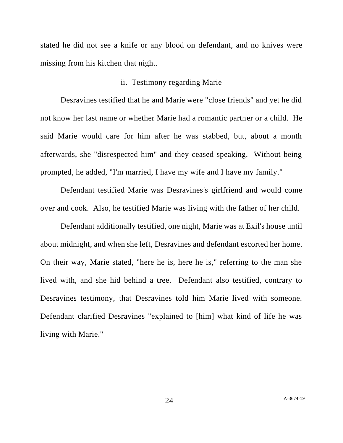stated he did not see a knife or any blood on defendant, and no knives were missing from his kitchen that night.

### ii. Testimony regarding Marie

Desravines testified that he and Marie were "close friends" and yet he did not know her last name or whether Marie had a romantic partner or a child. He said Marie would care for him after he was stabbed, but, about a month afterwards, she "disrespected him" and they ceased speaking. Without being prompted, he added, "I'm married, I have my wife and I have my family."

Defendant testified Marie was Desravines's girlfriend and would come over and cook. Also, he testified Marie was living with the father of her child.

Defendant additionally testified, one night, Marie was at Exil's house until about midnight, and when she left, Desravines and defendant escorted her home. On their way, Marie stated, "here he is, here he is," referring to the man she lived with, and she hid behind a tree. Defendant also testified, contrary to Desravines testimony, that Desravines told him Marie lived with someone. Defendant clarified Desravines "explained to [him] what kind of life he was living with Marie."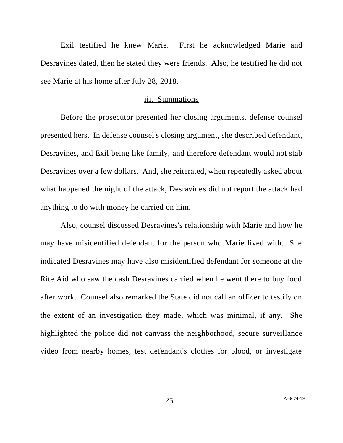Exil testified he knew Marie. First he acknowledged Marie and Desravines dated, then he stated they were friends. Also, he testified he did not see Marie at his home after July 28, 2018.

#### iii. Summations

Before the prosecutor presented her closing arguments, defense counsel presented hers. In defense counsel's closing argument, she described defendant, Desravines, and Exil being like family, and therefore defendant would not stab Desravines over a few dollars. And, she reiterated, when repeatedly asked about what happened the night of the attack, Desravines did not report the attack had anything to do with money he carried on him.

Also, counsel discussed Desravines's relationship with Marie and how he may have misidentified defendant for the person who Marie lived with. She indicated Desravines may have also misidentified defendant for someone at the Rite Aid who saw the cash Desravines carried when he went there to buy food after work. Counsel also remarked the State did not call an officer to testify on the extent of an investigation they made, which was minimal, if any. She highlighted the police did not canvass the neighborhood, secure surveillance video from nearby homes, test defendant's clothes for blood, or investigate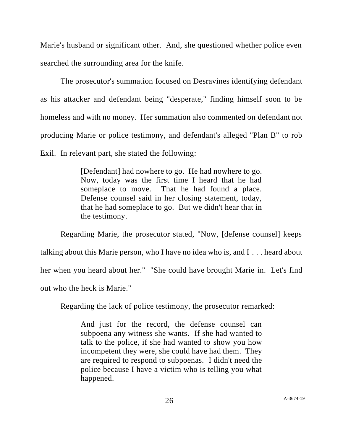Marie's husband or significant other. And, she questioned whether police even searched the surrounding area for the knife.

The prosecutor's summation focused on Desravines identifying defendant as his attacker and defendant being "desperate," finding himself soon to be homeless and with no money. Her summation also commented on defendant not producing Marie or police testimony, and defendant's alleged "Plan B" to rob Exil. In relevant part, she stated the following:

> [Defendant] had nowhere to go. He had nowhere to go. Now, today was the first time I heard that he had someplace to move. That he had found a place. Defense counsel said in her closing statement, today, that he had someplace to go. But we didn't hear that in the testimony.

Regarding Marie, the prosecutor stated, "Now, [defense counsel] keeps talking about this Marie person, who I have no idea who is, and I . . . heard about her when you heard about her." "She could have brought Marie in. Let's find out who the heck is Marie."

Regarding the lack of police testimony, the prosecutor remarked:

And just for the record, the defense counsel can subpoena any witness she wants. If she had wanted to talk to the police, if she had wanted to show you how incompetent they were, she could have had them. They are required to respond to subpoenas. I didn't need the police because I have a victim who is telling you what happened.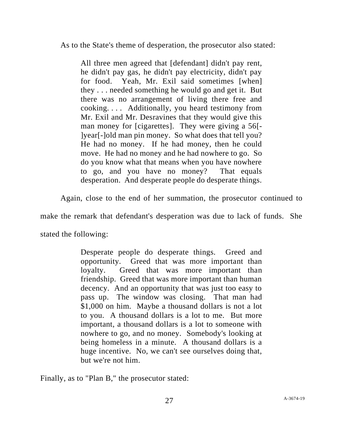As to the State's theme of desperation, the prosecutor also stated:

All three men agreed that [defendant] didn't pay rent, he didn't pay gas, he didn't pay electricity, didn't pay for food. Yeah, Mr. Exil said sometimes [when] they . . . needed something he would go and get it. But there was no arrangement of living there free and cooking. . . . Additionally, you heard testimony from Mr. Exil and Mr. Desravines that they would give this man money for [cigarettes]. They were giving a 56[- ]year[-]old man pin money. So what does that tell you? He had no money. If he had money, then he could move. He had no money and he had nowhere to go. So do you know what that means when you have nowhere to go, and you have no money? That equals desperation. And desperate people do desperate things.

Again, close to the end of her summation, the prosecutor continued to

make the remark that defendant's desperation was due to lack of funds. She

stated the following:

Desperate people do desperate things. Greed and opportunity. Greed that was more important than loyalty. Greed that was more important than friendship. Greed that was more important than human decency. And an opportunity that was just too easy to pass up. The window was closing. That man had \$1,000 on him. Maybe a thousand dollars is not a lot to you. A thousand dollars is a lot to me. But more important, a thousand dollars is a lot to someone with nowhere to go, and no money. Somebody's looking at being homeless in a minute. A thousand dollars is a huge incentive. No, we can't see ourselves doing that, but we're not him.

Finally, as to "Plan B," the prosecutor stated: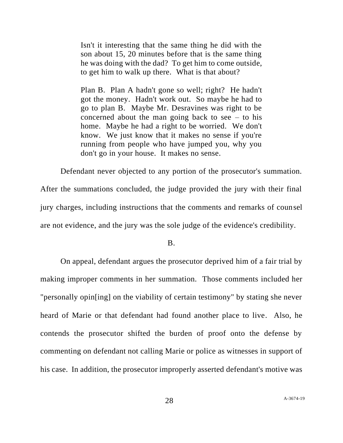Isn't it interesting that the same thing he did with the son about 15, 20 minutes before that is the same thing he was doing with the dad? To get him to come outside, to get him to walk up there. What is that about?

Plan B. Plan A hadn't gone so well; right? He hadn't got the money. Hadn't work out. So maybe he had to go to plan B. Maybe Mr. Desravines was right to be concerned about the man going back to see  $-$  to his home. Maybe he had a right to be worried. We don't know. We just know that it makes no sense if you're running from people who have jumped you, why you don't go in your house. It makes no sense.

Defendant never objected to any portion of the prosecutor's summation. After the summations concluded, the judge provided the jury with their final jury charges, including instructions that the comments and remarks of counsel are not evidence, and the jury was the sole judge of the evidence's credibility.

B.

On appeal, defendant argues the prosecutor deprived him of a fair trial by making improper comments in her summation. Those comments included her "personally opin[ing] on the viability of certain testimony" by stating she never heard of Marie or that defendant had found another place to live. Also, he contends the prosecutor shifted the burden of proof onto the defense by commenting on defendant not calling Marie or police as witnesses in support of his case. In addition, the prosecutor improperly asserted defendant's motive was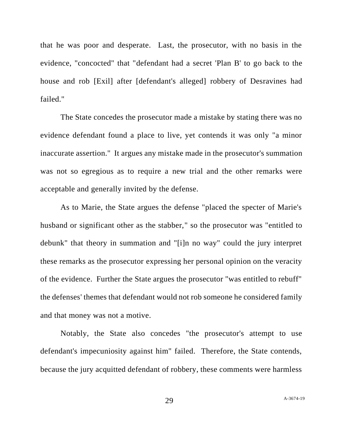that he was poor and desperate. Last, the prosecutor, with no basis in the evidence, "concocted" that "defendant had a secret 'Plan B' to go back to the house and rob [Exil] after [defendant's alleged] robbery of Desravines had failed."

The State concedes the prosecutor made a mistake by stating there was no evidence defendant found a place to live, yet contends it was only "a minor inaccurate assertion." It argues any mistake made in the prosecutor's summation was not so egregious as to require a new trial and the other remarks were acceptable and generally invited by the defense.

As to Marie, the State argues the defense "placed the specter of Marie's husband or significant other as the stabber," so the prosecutor was "entitled to debunk" that theory in summation and "[i]n no way" could the jury interpret these remarks as the prosecutor expressing her personal opinion on the veracity of the evidence. Further the State argues the prosecutor "was entitled to rebuff" the defenses' themes that defendant would not rob someone he considered family and that money was not a motive.

Notably, the State also concedes "the prosecutor's attempt to use defendant's impecuniosity against him" failed. Therefore, the State contends, because the jury acquitted defendant of robbery, these comments were harmless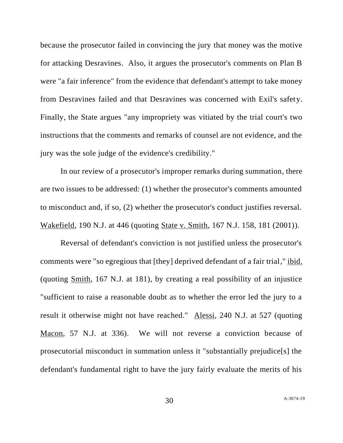because the prosecutor failed in convincing the jury that money was the motive for attacking Desravines. Also, it argues the prosecutor's comments on Plan B were "a fair inference" from the evidence that defendant's attempt to take money from Desravines failed and that Desravines was concerned with Exil's safety. Finally, the State argues "any impropriety was vitiated by the trial court's two instructions that the comments and remarks of counsel are not evidence, and the jury was the sole judge of the evidence's credibility."

In our review of a prosecutor's improper remarks during summation, there are two issues to be addressed: (1) whether the prosecutor's comments amounted to misconduct and, if so, (2) whether the prosecutor's conduct justifies reversal. Wakefield, 190 N.J. at 446 (quoting State v. Smith, 167 N.J. 158, 181 (2001)).

Reversal of defendant's conviction is not justified unless the prosecutor's comments were "so egregious that [they] deprived defendant of a fair trial," ibid. (quoting Smith, 167 N.J. at 181), by creating a real possibility of an injustice "sufficient to raise a reasonable doubt as to whether the error led the jury to a result it otherwise might not have reached." Alessi, 240 N.J. at 527 (quoting Macon, 57 N.J. at 336). We will not reverse a conviction because of prosecutorial misconduct in summation unless it "substantially prejudice[s] the defendant's fundamental right to have the jury fairly evaluate the merits of his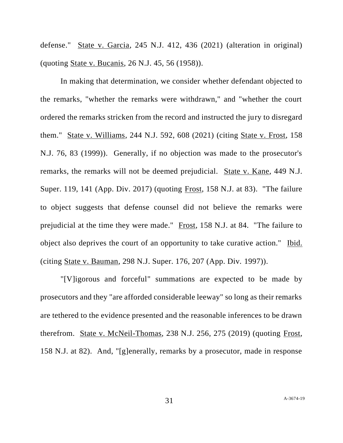defense." State v. Garcia, 245 N.J. 412, 436 (2021) (alteration in original) (quoting State v. Bucanis, 26 N.J. 45, 56 (1958)).

In making that determination, we consider whether defendant objected to the remarks, "whether the remarks were withdrawn," and "whether the court ordered the remarks stricken from the record and instructed the jury to disregard them." State v. Williams, 244 N.J. 592, 608 (2021) (citing State v. Frost, 158 N.J. 76, 83 (1999)). Generally, if no objection was made to the prosecutor's remarks, the remarks will not be deemed prejudicial. State v. Kane, 449 N.J. Super. 119, 141 (App. Div. 2017) (quoting Frost, 158 N.J. at 83). "The failure to object suggests that defense counsel did not believe the remarks were prejudicial at the time they were made." Frost, 158 N.J. at 84. "The failure to object also deprives the court of an opportunity to take curative action." Ibid. (citing State v. Bauman, 298 N.J. Super. 176, 207 (App. Div. 1997)).

"[V]igorous and forceful" summations are expected to be made by prosecutors and they "are afforded considerable leeway" so long as their remarks are tethered to the evidence presented and the reasonable inferences to be drawn therefrom. State v. McNeil-Thomas, 238 N.J. 256, 275 (2019) (quoting Frost, 158 N.J. at 82). And, "[g]enerally, remarks by a prosecutor, made in response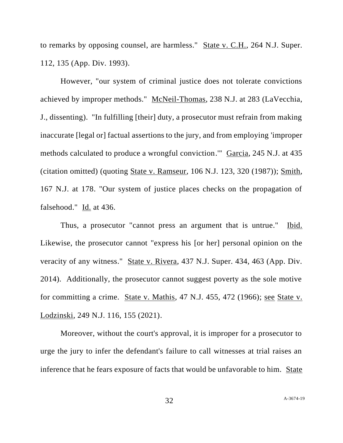to remarks by opposing counsel, are harmless." State v. C.H., 264 N.J. Super. 112, 135 (App. Div. 1993).

However, "our system of criminal justice does not tolerate convictions achieved by improper methods." McNeil-Thomas, 238 N.J. at 283 (LaVecchia, J., dissenting). "In fulfilling [their] duty, a prosecutor must refrain from making inaccurate [legal or] factual assertions to the jury, and from employing 'improper methods calculated to produce a wrongful conviction.'" Garcia, 245 N.J. at 435 (citation omitted) (quoting State v. Ramseur, 106 N.J. 123, 320 (1987)); Smith, 167 N.J. at 178. "Our system of justice places checks on the propagation of falsehood." Id. at 436.

Thus, a prosecutor "cannot press an argument that is untrue." Ibid. Likewise, the prosecutor cannot "express his [or her] personal opinion on the veracity of any witness." State v. Rivera, 437 N.J. Super. 434, 463 (App. Div. 2014). Additionally, the prosecutor cannot suggest poverty as the sole motive for committing a crime. State v. Mathis, 47 N.J. 455, 472 (1966); see State v. Lodzinski, 249 N.J. 116, 155 (2021).

Moreover, without the court's approval, it is improper for a prosecutor to urge the jury to infer the defendant's failure to call witnesses at trial raises an inference that he fears exposure of facts that would be unfavorable to him. State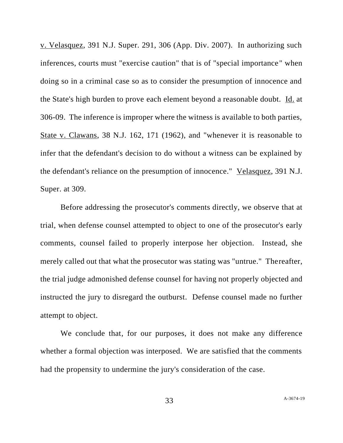v. Velasquez, 391 N.J. Super. 291, 306 (App. Div. 2007). In authorizing such inferences, courts must "exercise caution" that is of "special importance" when doing so in a criminal case so as to consider the presumption of innocence and the State's high burden to prove each element beyond a reasonable doubt. Id. at 306-09. The inference is improper where the witness is available to both parties, State v. Clawans, 38 N.J. 162, 171 (1962), and "whenever it is reasonable to infer that the defendant's decision to do without a witness can be explained by the defendant's reliance on the presumption of innocence." Velasquez, 391 N.J. Super. at 309.

Before addressing the prosecutor's comments directly, we observe that at trial, when defense counsel attempted to object to one of the prosecutor's early comments, counsel failed to properly interpose her objection. Instead, she merely called out that what the prosecutor was stating was "untrue." Thereafter, the trial judge admonished defense counsel for having not properly objected and instructed the jury to disregard the outburst. Defense counsel made no further attempt to object.

We conclude that, for our purposes, it does not make any difference whether a formal objection was interposed. We are satisfied that the comments had the propensity to undermine the jury's consideration of the case.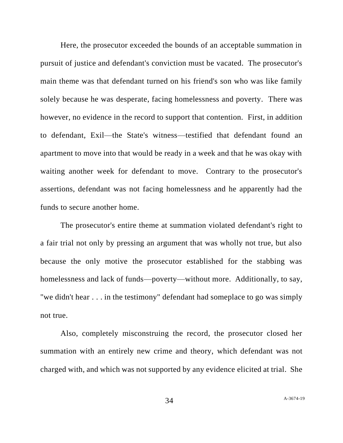Here, the prosecutor exceeded the bounds of an acceptable summation in pursuit of justice and defendant's conviction must be vacated. The prosecutor's main theme was that defendant turned on his friend's son who was like family solely because he was desperate, facing homelessness and poverty. There was however, no evidence in the record to support that contention. First, in addition to defendant, Exil—the State's witness—testified that defendant found an apartment to move into that would be ready in a week and that he was okay with waiting another week for defendant to move. Contrary to the prosecutor's assertions, defendant was not facing homelessness and he apparently had the funds to secure another home.

The prosecutor's entire theme at summation violated defendant's right to a fair trial not only by pressing an argument that was wholly not true, but also because the only motive the prosecutor established for the stabbing was homelessness and lack of funds—poverty—without more. Additionally, to say, "we didn't hear . . . in the testimony" defendant had someplace to go was simply not true.

Also, completely misconstruing the record, the prosecutor closed her summation with an entirely new crime and theory, which defendant was not charged with, and which was not supported by any evidence elicited at trial. She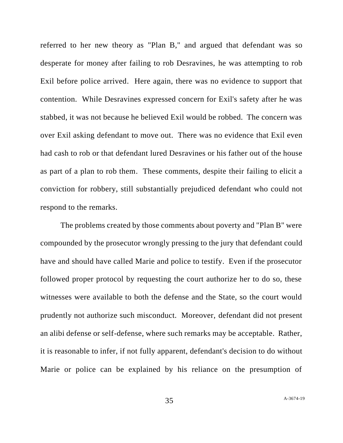referred to her new theory as "Plan B," and argued that defendant was so desperate for money after failing to rob Desravines, he was attempting to rob Exil before police arrived. Here again, there was no evidence to support that contention. While Desravines expressed concern for Exil's safety after he was stabbed, it was not because he believed Exil would be robbed. The concern was over Exil asking defendant to move out. There was no evidence that Exil even had cash to rob or that defendant lured Desravines or his father out of the house as part of a plan to rob them. These comments, despite their failing to elicit a conviction for robbery, still substantially prejudiced defendant who could not respond to the remarks.

The problems created by those comments about poverty and "Plan B" were compounded by the prosecutor wrongly pressing to the jury that defendant could have and should have called Marie and police to testify. Even if the prosecutor followed proper protocol by requesting the court authorize her to do so, these witnesses were available to both the defense and the State, so the court would prudently not authorize such misconduct. Moreover, defendant did not present an alibi defense or self-defense, where such remarks may be acceptable. Rather, it is reasonable to infer, if not fully apparent, defendant's decision to do without Marie or police can be explained by his reliance on the presumption of